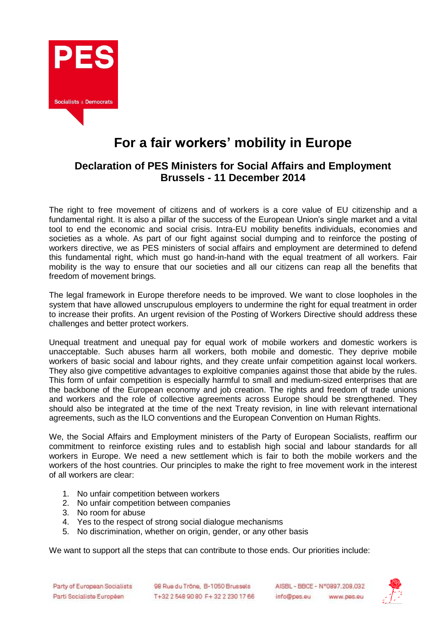

## **For a fair workers' mobility in Europe**

## **Declaration of PES Ministers for Social Affairs and Employment Brussels - 11 December 2014**

The right to free movement of citizens and of workers is a core value of EU citizenship and a fundamental right. It is also a pillar of the success of the European Union's single market and a vital tool to end the economic and social crisis. Intra-EU mobility benefits individuals, economies and societies as a whole. As part of our fight against social dumping and to reinforce the posting of workers directive, we as PES ministers of social affairs and employment are determined to defend this fundamental right, which must go hand-in-hand with the equal treatment of all workers. Fair mobility is the way to ensure that our societies and all our citizens can reap all the benefits that freedom of movement brings.

The legal framework in Europe therefore needs to be improved. We want to close loopholes in the system that have allowed unscrupulous employers to undermine the right for equal treatment in order to increase their profits. An urgent revision of the Posting of Workers Directive should address these challenges and better protect workers.

Unequal treatment and unequal pay for equal work of mobile workers and domestic workers is unacceptable. Such abuses harm all workers, both mobile and domestic. They deprive mobile workers of basic social and labour rights, and they create unfair competition against local workers. They also give competitive advantages to exploitive companies against those that abide by the rules. This form of unfair competition is especially harmful to small and medium-sized enterprises that are the backbone of the European economy and job creation. The rights and freedom of trade unions and workers and the role of collective agreements across Europe should be strengthened. They should also be integrated at the time of the next Treaty revision, in line with relevant international agreements, such as the ILO conventions and the European Convention on Human Rights.

We, the Social Affairs and Employment ministers of the Party of European Socialists, reaffirm our commitment to reinforce existing rules and to establish high social and labour standards for all workers in Europe. We need a new settlement which is fair to both the mobile workers and the workers of the host countries. Our principles to make the right to free movement work in the interest of all workers are clear:

- 1. No unfair competition between workers
- 2. No unfair competition between companies
- 3. No room for abuse
- 4. Yes to the respect of strong social dialogue mechanisms
- 5. No discrimination, whether on origin, gender, or any other basis

We want to support all the steps that can contribute to those ends. Our priorities include: